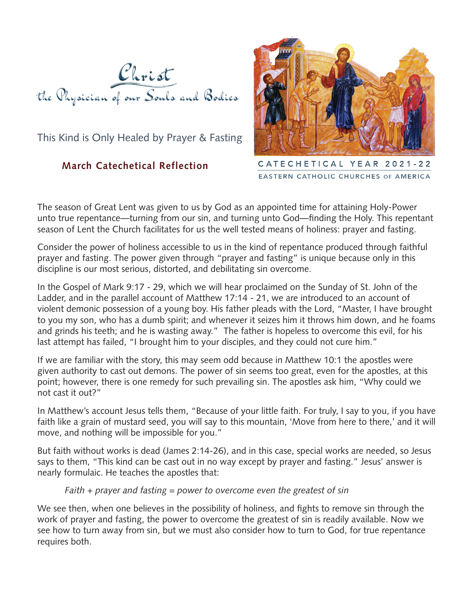

This Kind is Only Healed by Prayer & Fasting

## **March Catechetical Reflection**



CATECHETICAL YEAR 2021-22 EASTERN CATHOLIC CHURCHES OF AMERICA

The season of Great Lent was given to us by God as an appointed time for attaining Holy-Power unto true repentance—turning from our sin, and turning unto God—finding the Holy. This repentant season of Lent the Church facilitates for us the well tested means of holiness: prayer and fasting.

Consider the power of holiness accessible to us in the kind of repentance produced through faithful prayer and fasting. The power given through "prayer and fasting" is unique because only in this discipline is our most serious, distorted, and debilitating sin overcome.

In the Gospel of Mark 9:17 - 29, which we will hear proclaimed on the Sunday of St. John of the Ladder, and in the parallel account of Matthew 17:14 - 21, we are introduced to an account of violent demonic possession of a young boy. His father pleads with the Lord, "Master, I have brought to you my son, who has a dumb spirit; and whenever it seizes him it throws him down, and he foams and grinds his teeth; and he is wasting away." The father is hopeless to overcome this evil, for his last attempt has failed, "I brought him to your disciples, and they could not cure him."

If we are familiar with the story, this may seem odd because in Matthew 10:1 the apostles were given authority to cast out demons. The power of sin seems too great, even for the apostles, at this point; however, there is one remedy for such prevailing sin. The apostles ask him, "Why could we not cast it out?"

In Matthew's account Jesus tells them, "Because of your little faith. For truly, I say to you, if you have faith like a grain of mustard seed, you will say to this mountain, 'Move from here to there,' and it will move, and nothing will be impossible for you."

But faith without works is dead (James 2:14-26), and in this case, special works are needed, so Jesus says to them, "This kind can be cast out in no way except by prayer and fasting." Jesus' answer is nearly formulaic. He teaches the apostles that:

```
Faith + prayer and fasting = power to overcome even the greatest of sin
```
We see then, when one believes in the possibility of holiness, and fights to remove sin through the work of prayer and fasting, the power to overcome the greatest of sin is readily available. Now we see how to turn away from sin, but we must also consider how to turn to God, for true repentance requires both.